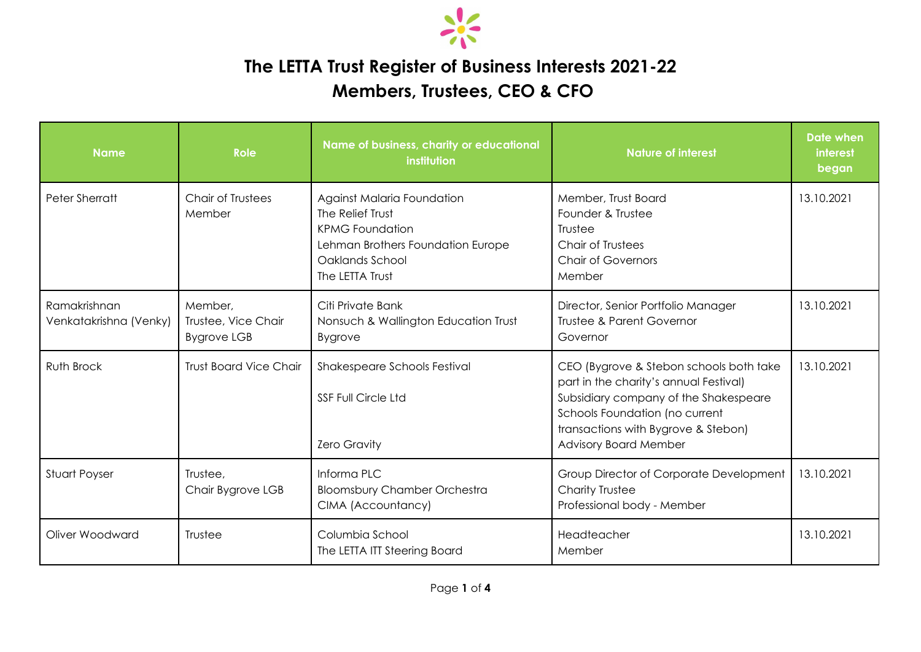

## **The LETTA Trust Register of Business Interests 2021-22**

## **Members, Trustees, CEO & CFO**

| <b>Name</b>                            | <b>Role</b>                                          | Name of business, charity or educational<br>institution                                                                                             | <b>Nature of interest</b>                                                                                                                                                                                                           | Date when<br><b>interest</b><br>began |
|----------------------------------------|------------------------------------------------------|-----------------------------------------------------------------------------------------------------------------------------------------------------|-------------------------------------------------------------------------------------------------------------------------------------------------------------------------------------------------------------------------------------|---------------------------------------|
| Peter Sherratt                         | <b>Chair of Trustees</b><br>Member                   | Against Malaria Foundation<br>The Relief Trust<br><b>KPMG Foundation</b><br>Lehman Brothers Foundation Europe<br>Oaklands School<br>The LETTA Trust | Member, Trust Board<br>Founder & Trustee<br>Trustee<br>Chair of Trustees<br><b>Chair of Governors</b><br>Member                                                                                                                     | 13.10.2021                            |
| Ramakrishnan<br>Venkatakrishna (Venky) | Member,<br>Trustee, Vice Chair<br><b>Bygrove LGB</b> | Citi Private Bank<br>Nonsuch & Wallington Education Trust<br><b>Bygrove</b>                                                                         | Director, Senior Portfolio Manager<br><b>Trustee &amp; Parent Governor</b><br>Governor                                                                                                                                              | 13.10.2021                            |
| Ruth Brock                             | <b>Trust Board Vice Chair</b>                        | Shakespeare Schools Festival<br><b>SSF Full Circle Ltd</b><br><b>Zero Gravity</b>                                                                   | CEO (Bygrove & Stebon schools both take<br>part in the charity's annual Festival)<br>Subsidiary company of the Shakespeare<br>Schools Foundation (no current<br>transactions with Bygrove & Stebon)<br><b>Advisory Board Member</b> | 13.10.2021                            |
| Stuart Poyser                          | Trustee,<br>Chair Bygrove LGB                        | Informa PLC<br><b>Bloomsbury Chamber Orchestra</b><br>CIMA (Accountancy)                                                                            | Group Director of Corporate Development<br>Charity Trustee<br>Professional body - Member                                                                                                                                            | 13.10.2021                            |
| Oliver Woodward                        | Trustee                                              | Columbia School<br>The LETTA ITT Steering Board                                                                                                     | Headteacher<br>Member                                                                                                                                                                                                               | 13.10.2021                            |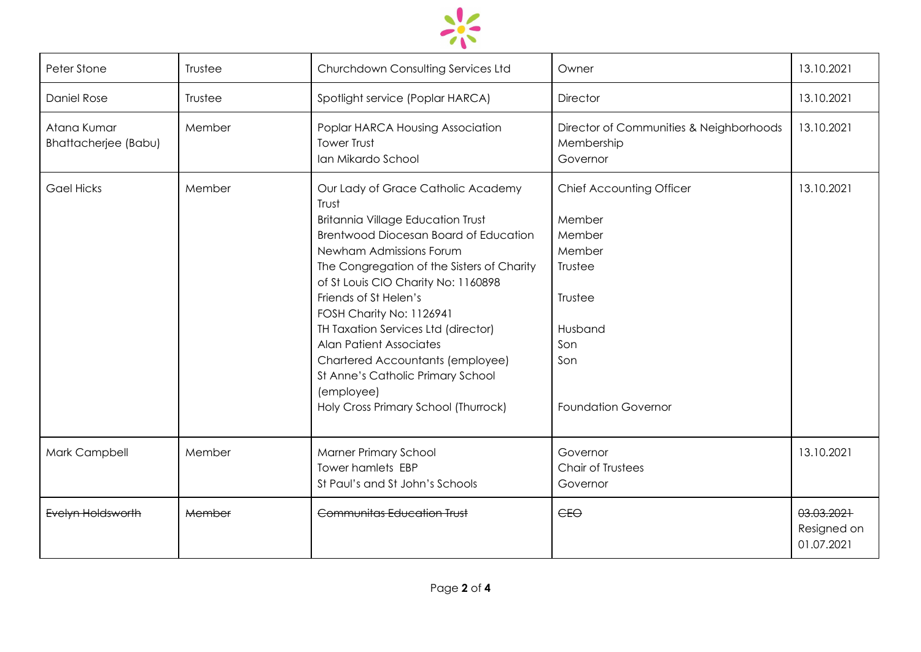

| Peter Stone                                | Trustee | Churchdown Consulting Services Ltd                                                                                                                                                                                                                                                                                                                                                                                                                                                                            | Owner                                                                                                                                      | 13.10.2021                              |
|--------------------------------------------|---------|---------------------------------------------------------------------------------------------------------------------------------------------------------------------------------------------------------------------------------------------------------------------------------------------------------------------------------------------------------------------------------------------------------------------------------------------------------------------------------------------------------------|--------------------------------------------------------------------------------------------------------------------------------------------|-----------------------------------------|
| <b>Daniel Rose</b>                         | Trustee | Spotlight service (Poplar HARCA)                                                                                                                                                                                                                                                                                                                                                                                                                                                                              | <b>Director</b>                                                                                                                            | 13.10.2021                              |
| Atana Kumar<br><b>Bhattacherjee (Babu)</b> | Member  | Poplar HARCA Housing Association<br><b>Tower Trust</b><br>Ian Mikardo School                                                                                                                                                                                                                                                                                                                                                                                                                                  | Director of Communities & Neighborhoods<br>Membership<br>Governor                                                                          | 13.10.2021                              |
| <b>Gael Hicks</b>                          | Member  | Our Lady of Grace Catholic Academy<br>Trust<br><b>Britannia Village Education Trust</b><br>Brentwood Diocesan Board of Education<br>Newham Admissions Forum<br>The Congregation of the Sisters of Charity<br>of St Louis CIO Charity No: 1160898<br>Friends of St Helen's<br>FOSH Charity No: 1126941<br>TH Taxation Services Ltd (director)<br><b>Alan Patient Associates</b><br>Chartered Accountants (employee)<br>St Anne's Catholic Primary School<br>(employee)<br>Holy Cross Primary School (Thurrock) | <b>Chief Accounting Officer</b><br>Member<br>Member<br>Member<br>Trustee<br>Trustee<br>Husband<br>Son<br>Son<br><b>Foundation Governor</b> | 13.10.2021                              |
| Mark Campbell                              | Member  | <b>Marner Primary School</b><br><b>Tower hamlets EBP</b><br>St Paul's and St John's Schools                                                                                                                                                                                                                                                                                                                                                                                                                   | Governor<br>Chair of Trustees<br>Governor                                                                                                  | 13.10.2021                              |
| Evelyn Holdsworth                          | Member  | <b>Communitas Education Trust</b>                                                                                                                                                                                                                                                                                                                                                                                                                                                                             | E <sub>0</sub>                                                                                                                             | 03.03.2021<br>Resigned on<br>01.07.2021 |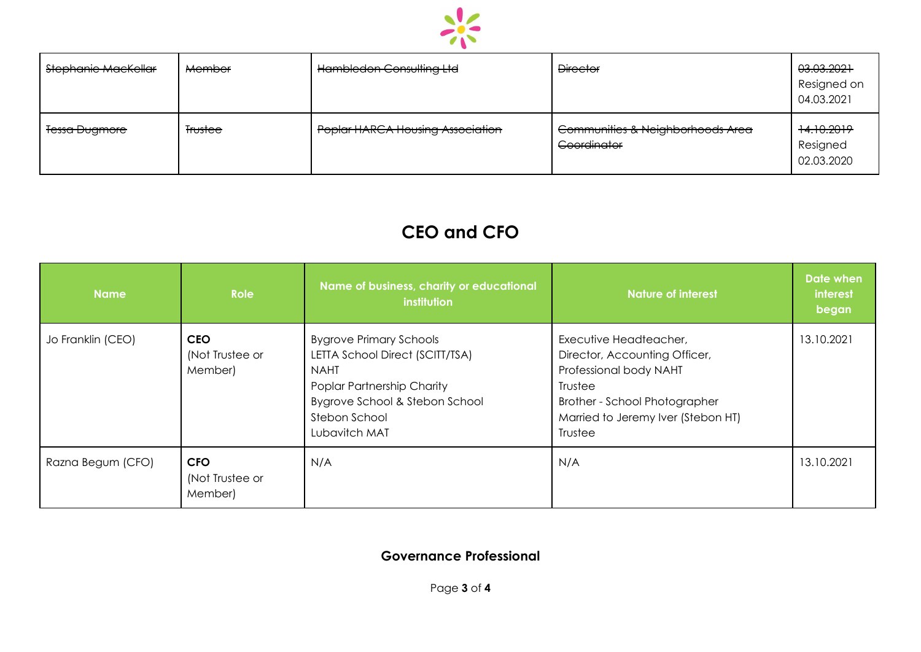

| Stephanie MacKellar      | <b>Member</b>  | Hambledon Consulting Ltd                | <b>Director</b>                                 | 03.03.2021<br>Resigned on<br>04.03.2021 |
|--------------------------|----------------|-----------------------------------------|-------------------------------------------------|-----------------------------------------|
| <del>Tessa Dugmore</del> | <b>Trustee</b> | <b>Poplar HARCA Housing Association</b> | Communities & Neighborhoods Area<br>Coordinator | +4.10.2019<br>Resigned<br>02.03.2020    |

## **CEO and CFO**

| <b>Name</b>       | <b>Role</b>                              | Name of business, charity or educational<br>institution                                                                                                                            | <b>Nature of interest</b>                                                                                                                                                      | <b>Date when</b><br><i>interest</i><br>began |
|-------------------|------------------------------------------|------------------------------------------------------------------------------------------------------------------------------------------------------------------------------------|--------------------------------------------------------------------------------------------------------------------------------------------------------------------------------|----------------------------------------------|
| Jo Franklin (CEO) | <b>CEO</b><br>(Not Trustee or<br>Member) | <b>Bygrove Primary Schools</b><br>LETTA School Direct (SCITT/TSA)<br><b>NAHT</b><br>Poplar Partnership Charity<br>Bygrove School & Stebon School<br>Stebon School<br>Lubavitch MAT | Executive Headteacher,<br>Director, Accounting Officer,<br>Professional body NAHT<br>Trustee<br>Brother - School Photographer<br>Married to Jeremy Iver (Stebon HT)<br>Trustee | 13.10.2021                                   |
| Razna Begum (CFO) | <b>CFO</b><br>(Not Trustee or<br>Member) | N/A                                                                                                                                                                                | N/A                                                                                                                                                                            | 13.10.2021                                   |

## **Governance Professional**